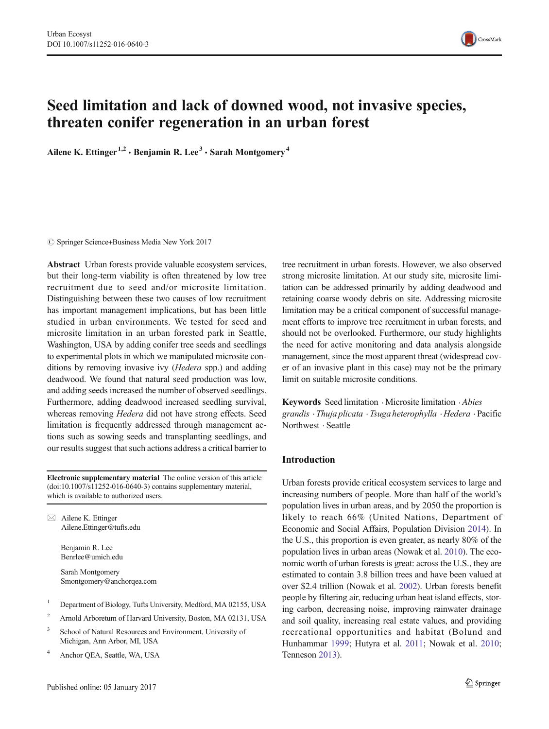

# Seed limitation and lack of downed wood, not invasive species, threaten conifer regeneration in an urban forest

Ailene K. Ettinger<sup>1,2</sup>  $\cdot$  Benjamin R. Lee<sup>3</sup>  $\cdot$  Sarah Montgomery<sup>4</sup>

 $\circled{c}$  Springer Science+Business Media New York 2017

Abstract Urban forests provide valuable ecosystem services, but their long-term viability is often threatened by low tree recruitment due to seed and/or microsite limitation. Distinguishing between these two causes of low recruitment has important management implications, but has been little studied in urban environments. We tested for seed and microsite limitation in an urban forested park in Seattle, Washington, USA by adding conifer tree seeds and seedlings to experimental plots in which we manipulated microsite conditions by removing invasive ivy (*Hedera* spp.) and adding deadwood. We found that natural seed production was low, and adding seeds increased the number of observed seedlings. Furthermore, adding deadwood increased seedling survival, whereas removing Hedera did not have strong effects. Seed limitation is frequently addressed through management actions such as sowing seeds and transplanting seedlings, and our results suggest that such actions address a critical barrier to

Electronic supplementary material The online version of this article (doi[:10.1007/s11252-016-0640-3\)](http://dx.doi.org/10.1007/s11252-016-0640-3) contains supplementary material, which is available to authorized users.

 $\boxtimes$  Ailene K. Ettinger Ailene.Ettinger@tufts.edu

> Benjamin R. Lee Benrlee@umich.edu

Sarah Montgomery Smontgomery@anchorqea.com

- <sup>1</sup> Department of Biology, Tufts University, Medford, MA 02155, USA
- <sup>2</sup> Arnold Arboretum of Harvard University, Boston, MA 02131, USA
- School of Natural Resources and Environment, University of Michigan, Ann Arbor, MI, USA
- <sup>4</sup> Anchor QEA, Seattle, WA, USA

tree recruitment in urban forests. However, we also observed strong microsite limitation. At our study site, microsite limitation can be addressed primarily by adding deadwood and retaining coarse woody debris on site. Addressing microsite limitation may be a critical component of successful management efforts to improve tree recruitment in urban forests, and should not be overlooked. Furthermore, our study highlights the need for active monitoring and data analysis alongside management, since the most apparent threat (widespread cover of an invasive plant in this case) may not be the primary limit on suitable microsite conditions.

Keywords Seed limitation · Microsite limitation · Abies grandis .Thuja plicata .Tsuga heterophylla .Hedera .Pacific Northwest . Seattle

# Introduction

Urban forests provide critical ecosystem services to large and increasing numbers of people. More than half of the world's population lives in urban areas, and by 2050 the proportion is likely to reach 66% (United Nations, Department of Economic and Social Affairs, Population Division [2014](#page-10-0)). In the U.S., this proportion is even greater, as nearly 80% of the population lives in urban areas (Nowak et al. [2010\)](#page-9-0). The economic worth of urban forests is great: across the U.S., they are estimated to contain 3.8 billion trees and have been valued at over \$2.4 trillion (Nowak et al. [2002\)](#page-9-0). Urban forests benefit people by filtering air, reducing urban heat island effects, storing carbon, decreasing noise, improving rainwater drainage and soil quality, increasing real estate values, and providing recreational opportunities and habitat (Bolund and Hunhammar [1999;](#page-9-0) Hutyra et al. [2011](#page-9-0); Nowak et al. [2010;](#page-9-0) Tenneson [2013\)](#page-10-0).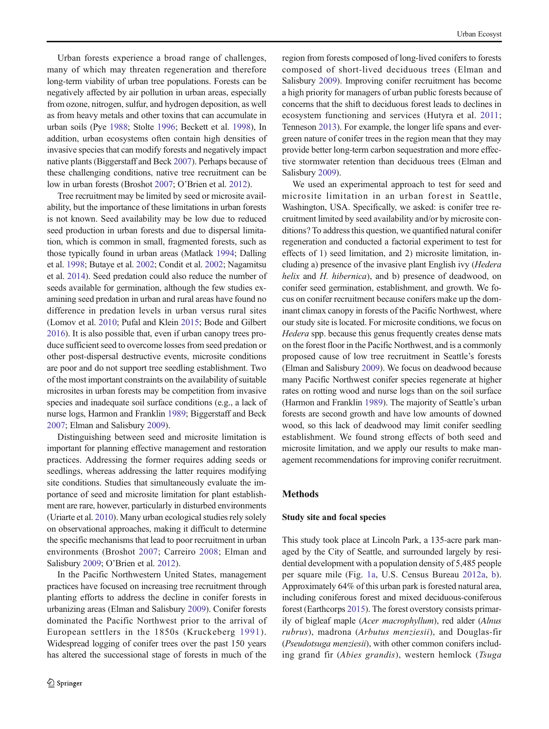Urban forests experience a broad range of challenges, many of which may threaten regeneration and therefore long-term viability of urban tree populations. Forests can be negatively affected by air pollution in urban areas, especially from ozone, nitrogen, sulfur, and hydrogen deposition, as well as from heavy metals and other toxins that can accumulate in urban soils (Pye [1988;](#page-9-0) Stolte [1996](#page-9-0); Beckett et al. [1998\)](#page-9-0), In addition, urban ecosystems often contain high densities of invasive species that can modify forests and negatively impact native plants (Biggerstaff and Beck [2007\)](#page-9-0). Perhaps because of these challenging conditions, native tree recruitment can be low in urban forests (Broshot [2007](#page-9-0); O'Brien et al. [2012](#page-9-0)).

Tree recruitment may be limited by seed or microsite availability, but the importance of these limitations in urban forests is not known. Seed availability may be low due to reduced seed production in urban forests and due to dispersal limitation, which is common in small, fragmented forests, such as those typically found in urban areas (Matlack [1994](#page-9-0); Dalling et al. [1998;](#page-9-0) Butaye et al. [2002](#page-9-0); Condit et al. [2002](#page-9-0); Nagamitsu et al. [2014\)](#page-9-0). Seed predation could also reduce the number of seeds available for germination, although the few studies examining seed predation in urban and rural areas have found no difference in predation levels in urban versus rural sites (Lomov et al. [2010;](#page-9-0) Pufal and Klein [2015;](#page-9-0) Bode and Gilbert [2016\)](#page-9-0). It is also possible that, even if urban canopy trees produce sufficient seed to overcome losses from seed predation or other post-dispersal destructive events, microsite conditions are poor and do not support tree seedling establishment. Two of the most important constraints on the availability of suitable microsites in urban forests may be competition from invasive species and inadequate soil surface conditions (e.g., a lack of nurse logs, Harmon and Franklin [1989;](#page-9-0) Biggerstaff and Beck [2007;](#page-9-0) Elman and Salisbury [2009](#page-9-0)).

Distinguishing between seed and microsite limitation is important for planning effective management and restoration practices. Addressing the former requires adding seeds or seedlings, whereas addressing the latter requires modifying site conditions. Studies that simultaneously evaluate the importance of seed and microsite limitation for plant establishment are rare, however, particularly in disturbed environments (Uriarte et al. [2010\)](#page-10-0). Many urban ecological studies rely solely on observational approaches, making it difficult to determine the specific mechanisms that lead to poor recruitment in urban environments (Broshot [2007](#page-9-0); Carreiro [2008;](#page-9-0) Elman and Salisbury [2009;](#page-9-0) O'Brien et al. [2012](#page-9-0)).

In the Pacific Northwestern United States, management practices have focused on increasing tree recruitment through planting efforts to address the decline in conifer forests in urbanizing areas (Elman and Salisbury [2009](#page-9-0)). Conifer forests dominated the Pacific Northwest prior to the arrival of European settlers in the 1850s (Kruckeberg [1991\)](#page-9-0). Widespread logging of conifer trees over the past 150 years has altered the successional stage of forests in much of the

region from forests composed of long-lived conifers to forests composed of short-lived deciduous trees (Elman and Salisbury [2009\)](#page-9-0). Improving conifer recruitment has become a high priority for managers of urban public forests because of concerns that the shift to deciduous forest leads to declines in ecosystem functioning and services (Hutyra et al. [2011;](#page-9-0) Tenneson [2013](#page-10-0)). For example, the longer life spans and evergreen nature of conifer trees in the region mean that they may provide better long-term carbon sequestration and more effective stormwater retention than deciduous trees (Elman and Salisbury [2009\)](#page-9-0).

We used an experimental approach to test for seed and microsite limitation in an urban forest in Seattle, Washington, USA. Specifically, we asked: is conifer tree recruitment limited by seed availability and/or by microsite conditions? To address this question, we quantified natural conifer regeneration and conducted a factorial experiment to test for effects of 1) seed limitation, and 2) microsite limitation, including a) presence of the invasive plant English ivy (Hedera helix and H. hibernica), and b) presence of deadwood, on conifer seed germination, establishment, and growth. We focus on conifer recruitment because conifers make up the dominant climax canopy in forests of the Pacific Northwest, where our study site is located. For microsite conditions, we focus on Hedera spp. because this genus frequently creates dense mats on the forest floor in the Pacific Northwest, and is a commonly proposed cause of low tree recruitment in Seattle's forests (Elman and Salisbury [2009](#page-9-0)). We focus on deadwood because many Pacific Northwest conifer species regenerate at higher rates on rotting wood and nurse logs than on the soil surface (Harmon and Franklin [1989](#page-9-0)). The majority of Seattle's urban forests are second growth and have low amounts of downed wood, so this lack of deadwood may limit conifer seedling establishment. We found strong effects of both seed and microsite limitation, and we apply our results to make management recommendations for improving conifer recruitment.

## Methods

## Study site and focal species

This study took place at Lincoln Park, a 135-acre park managed by the City of Seattle, and surrounded largely by residential development with a population density of 5,485 people per square mile (Fig. [1a,](#page-2-0) U.S. Census Bureau [2012a,](#page-10-0) [b](#page-10-0)). Approximately 64% of this urban park is forested natural area, including coniferous forest and mixed deciduous-coniferous forest (Earthcorps [2015](#page-9-0)). The forest overstory consists primarily of bigleaf maple (Acer macrophyllum), red alder (Alnus rubrus), madrona (Arbutus menziesii), and Douglas-fir (Pseudotsuga menziesii), with other common conifers including grand fir (Abies grandis), western hemlock (Tsuga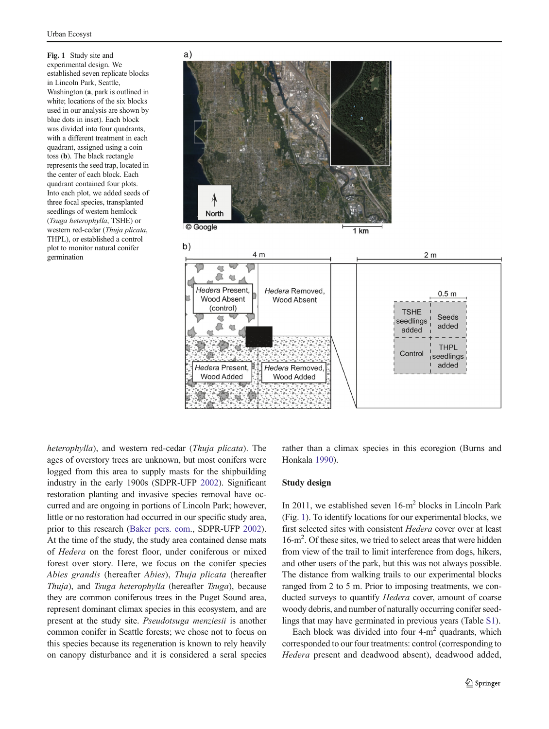<span id="page-2-0"></span>Fig. 1 Study site and experimental design. We established seven replicate blocks in Lincoln Park, Seattle, Washington (a, park is outlined in white; locations of the six blocks used in our analysis are shown by blue dots in inset). Each block was divided into four quadrants, with a different treatment in each quadrant, assigned using a coin toss (b). The black rectangle represents the seed trap, located in the center of each block. Each quadrant contained four plots. Into each plot, we added seeds of three focal species, transplanted seedlings of western hemlock (Tsuga heterophylla, TSHE) or western red-cedar (Thuja plicata, THPL), or established a control plot to monitor natural conifer germination



heterophylla), and western red-cedar (Thuja plicata). The ages of overstory trees are unknown, but most conifers were logged from this area to supply masts for the shipbuilding industry in the early 1900s (SDPR-UFP [2002](#page-9-0)). Significant restoration planting and invasive species removal have occurred and are ongoing in portions of Lincoln Park; however, little or no restoration had occurred in our specific study area, prior to this research ([Baker pers. com](#page-9-0)., SDPR-UFP [2002\)](#page-9-0). At the time of the study, the study area contained dense mats of Hedera on the forest floor, under coniferous or mixed forest over story. Here, we focus on the conifer species Abies grandis (hereafter Abies), Thuja plicata (hereafter Thuja), and Tsuga heterophylla (hereafter Tsuga), because they are common coniferous trees in the Puget Sound area, represent dominant climax species in this ecosystem, and are present at the study site. Pseudotsuga menziesii is another common conifer in Seattle forests; we chose not to focus on this species because its regeneration is known to rely heavily on canopy disturbance and it is considered a seral species rather than a climax species in this ecoregion (Burns and Honkala [1990\)](#page-9-0).

## Study design

In 2011, we established seven 16-m2 blocks in Lincoln Park (Fig. 1). To identify locations for our experimental blocks, we first selected sites with consistent Hedera cover over at least 16-m2 . Of these sites, we tried to select areas that were hidden from view of the trail to limit interference from dogs, hikers, and other users of the park, but this was not always possible. The distance from walking trails to our experimental blocks ranged from 2 to 5 m. Prior to imposing treatments, we conducted surveys to quantify Hedera cover, amount of coarse woody debris, and number of naturally occurring conifer seedlings that may have germinated in previous years (Table S1).

Each block was divided into four  $4-m^2$  quadrants, which corresponded to our four treatments: control (corresponding to Hedera present and deadwood absent), deadwood added,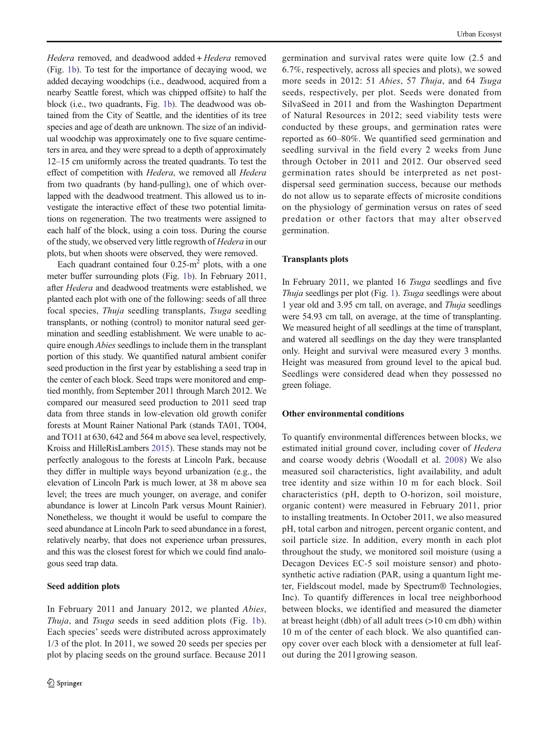Hedera removed, and deadwood added + Hedera removed (Fig. [1b\)](#page-2-0). To test for the importance of decaying wood, we added decaying woodchips (i.e., deadwood, acquired from a nearby Seattle forest, which was chipped offsite) to half the block (i.e., two quadrants, Fig. [1b\)](#page-2-0). The deadwood was obtained from the City of Seattle, and the identities of its tree species and age of death are unknown. The size of an individual woodchip was approximately one to five square centimeters in area, and they were spread to a depth of approximately 12–15 cm uniformly across the treated quadrants. To test the effect of competition with Hedera, we removed all Hedera from two quadrants (by hand-pulling), one of which overlapped with the deadwood treatment. This allowed us to investigate the interactive effect of these two potential limitations on regeneration. The two treatments were assigned to each half of the block, using a coin toss. During the course of the study, we observed very little regrowth of Hedera in our plots, but when shoots were observed, they were removed.

Each quadrant contained four  $0.25 \text{ m}^2$  plots, with a one meter buffer surrounding plots (Fig. [1b](#page-2-0)). In February 2011, after Hedera and deadwood treatments were established, we planted each plot with one of the following: seeds of all three focal species, Thuja seedling transplants, Tsuga seedling transplants, or nothing (control) to monitor natural seed germination and seedling establishment. We were unable to acquire enough *Abies* seedlings to include them in the transplant portion of this study. We quantified natural ambient conifer seed production in the first year by establishing a seed trap in the center of each block. Seed traps were monitored and emptied monthly, from September 2011 through March 2012. We compared our measured seed production to 2011 seed trap data from three stands in low-elevation old growth conifer forests at Mount Rainer National Park (stands TA01, TO04, and TO11 at 630, 642 and 564 m above sea level, respectively, Kroiss and HilleRisLambers [2015](#page-9-0)). These stands may not be perfectly analogous to the forests at Lincoln Park, because they differ in multiple ways beyond urbanization (e.g., the elevation of Lincoln Park is much lower, at 38 m above sea level; the trees are much younger, on average, and conifer abundance is lower at Lincoln Park versus Mount Rainier). Nonetheless, we thought it would be useful to compare the seed abundance at Lincoln Park to seed abundance in a forest, relatively nearby, that does not experience urban pressures, and this was the closest forest for which we could find analogous seed trap data.

## Seed addition plots

In February 2011 and January 2012, we planted Abies, Thuja, and Tsuga seeds in seed addition plots (Fig. [1b](#page-2-0)). Each species' seeds were distributed across approximately 1/3 of the plot. In 2011, we sowed 20 seeds per species per plot by placing seeds on the ground surface. Because 2011

germination and survival rates were quite low (2.5 and 6.7%, respectively, across all species and plots), we sowed more seeds in 2012: 51 Abies, 57 Thuja, and 64 Tsuga seeds, respectively, per plot. Seeds were donated from SilvaSeed in 2011 and from the Washington Department of Natural Resources in 2012; seed viability tests were conducted by these groups, and germination rates were reported as 60–80%. We quantified seed germination and seedling survival in the field every 2 weeks from June through October in 2011 and 2012. Our observed seed germination rates should be interpreted as net postdispersal seed germination success, because our methods do not allow us to separate effects of microsite conditions on the physiology of germination versus on rates of seed predation or other factors that may alter observed germination.

## Transplants plots

In February 2011, we planted 16 Tsuga seedlings and five Thuja seedlings per plot (Fig. [1\)](#page-2-0). Tsuga seedlings were about 1 year old and 3.95 cm tall, on average, and Thuja seedlings were 54.93 cm tall, on average, at the time of transplanting. We measured height of all seedlings at the time of transplant, and watered all seedlings on the day they were transplanted only. Height and survival were measured every 3 months. Height was measured from ground level to the apical bud. Seedlings were considered dead when they possessed no green foliage.

## Other environmental conditions

To quantify environmental differences between blocks, we estimated initial ground cover, including cover of Hedera and coarse woody debris (Woodall et al. [2008](#page-10-0)) We also measured soil characteristics, light availability, and adult tree identity and size within 10 m for each block. Soil characteristics (pH, depth to O-horizon, soil moisture, organic content) were measured in February 2011, prior to installing treatments. In October 2011, we also measured pH, total carbon and nitrogen, percent organic content, and soil particle size. In addition, every month in each plot throughout the study, we monitored soil moisture (using a Decagon Devices EC-5 soil moisture sensor) and photosynthetic active radiation (PAR, using a quantum light meter, Fieldscout model, made by Spectrum® Technologies, Inc). To quantify differences in local tree neighborhood between blocks, we identified and measured the diameter at breast height (dbh) of all adult trees (>10 cm dbh) within 10 m of the center of each block. We also quantified canopy cover over each block with a densiometer at full leafout during the 2011growing season.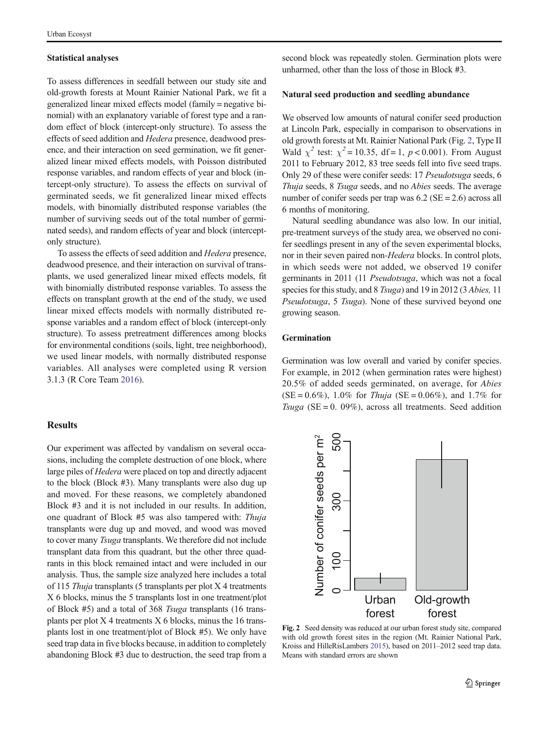#### <span id="page-4-0"></span>Statistical analyses

To assess differences in seedfall between our study site and old-growth forests at Mount Rainier National Park, we fit a generalized linear mixed effects model (family = negative binomial) with an explanatory variable of forest type and a random effect of block (intercept-only structure). To assess the effects of seed addition and Hedera presence, deadwood presence, and their interaction on seed germination, we fit generalized linear mixed effects models, with Poisson distributed response variables, and random effects of year and block (intercept-only structure). To assess the effects on survival of germinated seeds, we fit generalized linear mixed effects models, with binomially distributed response variables (the number of surviving seeds out of the total number of germinated seeds), and random effects of year and block (interceptonly structure).

To assess the effects of seed addition and Hedera presence, deadwood presence, and their interaction on survival of transplants, we used generalized linear mixed effects models, fit with binomially distributed response variables. To assess the effects on transplant growth at the end of the study, we used linear mixed effects models with normally distributed response variables and a random effect of block (intercept-only structure). To assess pretreatment differences among blocks for environmental conditions (soils, light, tree neighborhood), we used linear models, with normally distributed response variables. All analyses were completed using R version 3.1.3 (R Core Team [2016\)](#page-9-0).

#### **Results**

Our experiment was affected by vandalism on several occasions, including the complete destruction of one block, where large piles of *Hedera* were placed on top and directly adjacent to the block (Block #3). Many transplants were also dug up and moved. For these reasons, we completely abandoned Block #3 and it is not included in our results. In addition, one quadrant of Block #5 was also tampered with: Thuja transplants were dug up and moved, and wood was moved to cover many Tsuga transplants. We therefore did not include transplant data from this quadrant, but the other three quadrants in this block remained intact and were included in our analysis. Thus, the sample size analyzed here includes a total of 115 Thuja transplants (5 transplants per plot  $X$  4 treatments X 6 blocks, minus the 5 transplants lost in one treatment/plot of Block #5) and a total of 368 Tsuga transplants (16 transplants per plot X 4 treatments X 6 blocks, minus the 16 transplants lost in one treatment/plot of Block #5). We only have seed trap data in five blocks because, in addition to completely abandoning Block #3 due to destruction, the seed trap from a second block was repeatedly stolen. Germination plots were unharmed, other than the loss of those in Block #3.

## Natural seed production and seedling abundance

We observed low amounts of natural conifer seed production at Lincoln Park, especially in comparison to observations in old growth forests at Mt. Rainier National Park (Fig. 2, Type II Wald  $\chi^2$  test:  $\chi^2 = 10.35$ , df = 1, p < 0.001). From August 2011 to February 2012, 83 tree seeds fell into five seed traps. Only 29 of these were conifer seeds: 17 Pseudotsuga seeds, 6 Thuja seeds, 8 Tsuga seeds, and no Abies seeds. The average number of conifer seeds per trap was 6.2 (SE = 2.6) across all 6 months of monitoring.

Natural seedling abundance was also low. In our initial, pre-treatment surveys of the study area, we observed no conifer seedlings present in any of the seven experimental blocks, nor in their seven paired non-Hedera blocks. In control plots, in which seeds were not added, we observed 19 conifer germinants in 2011 (11 Pseudotsuga, which was not a focal species for this study, and 8 Tsuga) and 19 in 2012 (3 Abies, 11 Pseudotsuga, 5 Tsuga). None of these survived beyond one growing season.

## Germination

Germination was low overall and varied by conifer species. For example, in 2012 (when germination rates were highest) 20.5% of added seeds germinated, on average, for Abies  $(SE = 0.6\%)$ , 1.0% for *Thuja*  $(SE = 0.06\%)$ , and 1.7% for Tsuga (SE = 0. 09%), across all treatments. Seed addition



Fig. 2 Seed density was reduced at our urban forest study site, compared with old growth forest sites in the region (Mt. Rainier National Park, Kroiss and HilleRisLambers [2015\)](#page-9-0), based on 2011–2012 seed trap data. Means with standard errors are shown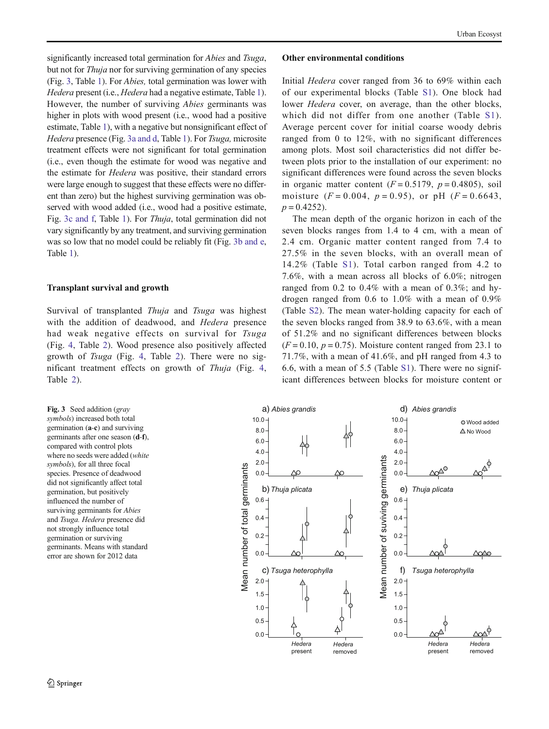<span id="page-5-0"></span>significantly increased total germination for *Abies* and *Tsuga*, but not for Thuja nor for surviving germination of any species (Fig. 3, Table [1\)](#page-6-0). For Abies, total germination was lower with Hedera present (i.e., Hedera had a negative estimate, Table [1\)](#page-6-0). However, the number of surviving Abies germinants was higher in plots with wood present (i.e., wood had a positive estimate, Table [1](#page-6-0)), with a negative but nonsignificant effect of Hedera presence (Fig. 3a and d, Table [1](#page-6-0)). For Tsuga, microsite treatment effects were not significant for total germination (i.e., even though the estimate for wood was negative and the estimate for Hedera was positive, their standard errors were large enough to suggest that these effects were no different than zero) but the highest surviving germination was observed with wood added (i.e., wood had a positive estimate, Fig. 3c and f, Table [1](#page-6-0)). For Thuja, total germination did not vary significantly by any treatment, and surviving germination was so low that no model could be reliably fit (Fig. 3b and e, Table [1\)](#page-6-0).

#### Transplant survival and growth

Survival of transplanted Thuja and Tsuga was highest with the addition of deadwood, and *Hedera* presence had weak negative effects on survival for Tsuga (Fig. [4](#page-7-0), Table [2\)](#page-7-0). Wood presence also positively affected growth of Tsuga (Fig. [4,](#page-7-0) Table [2\)](#page-7-0). There were no significant treatment effects on growth of Thuja (Fig. [4,](#page-7-0) Table [2\)](#page-7-0).

#### Other environmental conditions

Initial Hedera cover ranged from 36 to 69% within each of our experimental blocks (Table S1). One block had lower Hedera cover, on average, than the other blocks, which did not differ from one another (Table S1). Average percent cover for initial coarse woody debris ranged from 0 to 12%, with no significant differences among plots. Most soil characteristics did not differ between plots prior to the installation of our experiment: no significant differences were found across the seven blocks in organic matter content  $(F = 0.5179, p = 0.4805)$ , soil moisture  $(F = 0.004, p = 0.95)$ , or pH  $(F = 0.6643,$  $p = 0.4252$ .

The mean depth of the organic horizon in each of the seven blocks ranges from 1.4 to 4 cm, with a mean of 2.4 cm. Organic matter content ranged from 7.4 to 27.5% in the seven blocks, with an overall mean of 14.2% (Table S1). Total carbon ranged from 4.2 to 7.6%, with a mean across all blocks of 6.0%; nitrogen ranged from 0.2 to 0.4% with a mean of 0.3%; and hydrogen ranged from 0.6 to 1.0% with a mean of 0.9% (Table S2). The mean water-holding capacity for each of the seven blocks ranged from 38.9 to 63.6%, with a mean of 51.2% and no significant differences between blocks  $(F = 0.10, p = 0.75)$ . Moisture content ranged from 23.1 to 71.7%, with a mean of 41.6%, and pH ranged from 4.3 to 6.6, with a mean of 5.5 (Table S1). There were no significant differences between blocks for moisture content or

Fig. 3 Seed addition (gray symbols) increased both total germination (a-c) and surviving germinants after one season (d-f), compared with control plots where no seeds were added (white symbols), for all three focal species. Presence of deadwood did not significantly affect total germination, but positively influenced the number of surviving germinants for *Abies* and Tsuga. Hedera presence did not strongly influence total germination or surviving germinants. Means with standard error are shown for 2012 data

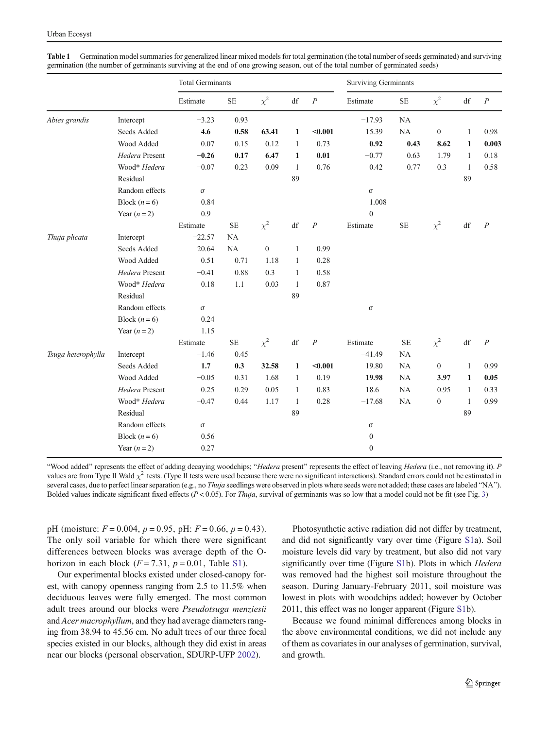|                    |                | <b>Total Germinants</b> |           |                  |                        |                  | <b>Surviving Germinants</b> |           |                  |                        |                |  |
|--------------------|----------------|-------------------------|-----------|------------------|------------------------|------------------|-----------------------------|-----------|------------------|------------------------|----------------|--|
|                    |                | Estimate                | $\rm SE$  | $\chi^2$         | $\mathrm{d}\mathrm{f}$ | $\cal P$         | Estimate                    | <b>SE</b> | $\chi^2$         | $\mathrm{d}\mathrm{f}$ | $\cal P$       |  |
| Abies grandis      | Intercept      | $-3.23$                 | 0.93      |                  |                        |                  | $-17.93$                    | <b>NA</b> |                  |                        |                |  |
|                    | Seeds Added    | 4.6                     | 0.58      | 63.41            | $\mathbf{1}$           | $0.001$          | 15.39                       | NA        | $\boldsymbol{0}$ | $\mathbf{1}$           | 0.98           |  |
|                    | Wood Added     | 0.07                    | 0.15      | 0.12             | $\mathbf{1}$           | 0.73             | 0.92                        | 0.43      | 8.62             | 1                      | 0.003          |  |
|                    | Hedera Present | $-0.26$                 | 0.17      | 6.47             | $\mathbf{1}$           | 0.01             | $-0.77$                     | 0.63      | 1.79             | 1                      | 0.18           |  |
|                    | Wood* Hedera   | $-0.07$                 | 0.23      | 0.09             | $\mathbf{1}$           | 0.76             | 0.42                        | 0.77      | 0.3              | $\mathbf{1}$           | 0.58           |  |
|                    | Residual       |                         |           |                  | 89                     |                  |                             |           |                  | 89                     |                |  |
|                    | Random effects | $\sigma$                |           |                  |                        |                  | $\sigma$                    |           |                  |                        |                |  |
|                    | Block $(n=6)$  | 0.84                    |           |                  |                        |                  | 1.008                       |           |                  |                        |                |  |
|                    | Year $(n=2)$   | 0.9                     |           |                  |                        |                  | $\overline{0}$              |           |                  |                        |                |  |
|                    |                | Estimate                | <b>SE</b> | $\chi^2$         | df                     | $\boldsymbol{P}$ | Estimate                    | $\rm SE$  | $\chi^2$         | df                     | $\overline{P}$ |  |
| Thuja plicata      | Intercept      | $-22.57$                | <b>NA</b> |                  |                        |                  |                             |           |                  |                        |                |  |
|                    | Seeds Added    | 20.64                   | NA        | $\boldsymbol{0}$ | 1                      | 0.99             |                             |           |                  |                        |                |  |
|                    | Wood Added     | 0.51                    | 0.71      | 1.18             | $\mathbf{1}$           | 0.28             |                             |           |                  |                        |                |  |
|                    | Hedera Present | $-0.41$                 | 0.88      | 0.3              | $\mathbf{1}$           | 0.58             |                             |           |                  |                        |                |  |
|                    | Wood* Hedera   | 0.18                    | 1.1       | 0.03             | 1                      | 0.87             |                             |           |                  |                        |                |  |
|                    | Residual       |                         |           |                  | 89                     |                  |                             |           |                  |                        |                |  |
|                    | Random effects | $\sigma$                |           |                  |                        |                  | $\sigma$                    |           |                  |                        |                |  |
|                    | Block $(n=6)$  | 0.24                    |           |                  |                        |                  |                             |           |                  |                        |                |  |
|                    | Year $(n=2)$   | 1.15                    |           |                  |                        |                  |                             |           |                  |                        |                |  |
|                    |                | Estimate                | $\rm SE$  | $\chi^2$         | df                     | $\overline{P}$   | Estimate                    | <b>SE</b> | $\chi^2$         | $\mathrm{d}\mathrm{f}$ | $\overline{P}$ |  |
| Tsuga heterophylla | Intercept      | $-1.46$                 | 0.45      |                  |                        |                  | $-41.49$                    | NA        |                  |                        |                |  |
|                    | Seeds Added    | 1.7                     | 0.3       | 32.58            | 1                      | $0.001$          | 19.80                       | <b>NA</b> | $\boldsymbol{0}$ | $\mathbf{1}$           | 0.99           |  |
|                    | Wood Added     | $-0.05$                 | 0.31      | 1.68             | $\mathbf{1}$           | 0.19             | 19.98                       | NA        | 3.97             | $\mathbf{1}$           | 0.05           |  |
|                    | Hedera Present | 0.25                    | 0.29      | 0.05             | $\mathbf{1}$           | 0.83             | 18.6                        | <b>NA</b> | 0.95             | 1                      | 0.33           |  |
|                    | Wood* Hedera   | $-0.47$                 | 0.44      | 1.17             | 1                      | 0.28             | $-17.68$                    | NA        | $\boldsymbol{0}$ | $\mathbf{1}$           | 0.99           |  |
|                    | Residual       |                         |           |                  | 89                     |                  |                             |           |                  | 89                     |                |  |
|                    | Random effects | $\sigma$                |           |                  |                        |                  | $\sigma$                    |           |                  |                        |                |  |
|                    | Block $(n=6)$  | 0.56                    |           |                  |                        |                  | $\mathbf{0}$                |           |                  |                        |                |  |
|                    | Year $(n=2)$   | 0.27                    |           |                  |                        |                  | $\mathbf{0}$                |           |                  |                        |                |  |

<span id="page-6-0"></span>Table 1 Germination model summaries for generalized linear mixed models for total germination (the total number of seeds germinated) and surviving germination (the number of germinants surviving at the end of one growing season, out of the total number of germinated seeds)

"Wood added" represents the effect of adding decaying woodchips; "Hedera present" represents the effect of leaving Hedera (i.e., not removing it). P values are from Type II Wald  $\chi^2$  tests. (Type II tests were used because there were no significant interactions). Standard errors could not be estimated in several cases, due to perfect linear separation (e.g., no Thuja seedlings were observed in plots where seeds were not added; these cases are labeled "NA"). Bolded values indicate significant fixed effects ( $P < 0.05$ ). For Thuja, survival of germinants was so low that a model could not be fit (see Fig. [3](#page-5-0))

pH (moisture:  $F = 0.004$ ,  $p = 0.95$ , pH:  $F = 0.66$ ,  $p = 0.43$ ). The only soil variable for which there were significant differences between blocks was average depth of the Ohorizon in each block  $(F = 7.31, p = 0.01,$  Table S1).

Our experimental blocks existed under closed-canopy forest, with canopy openness ranging from 2.5 to 11.5% when deciduous leaves were fully emerged. The most common adult trees around our blocks were Pseudotsuga menziesii and Acer macrophyllum, and they had average diameters ranging from 38.94 to 45.56 cm. No adult trees of our three focal species existed in our blocks, although they did exist in areas near our blocks (personal observation, SDURP-UFP [2002](#page-9-0)).

Photosynthetic active radiation did not differ by treatment, and did not significantly vary over time (Figure S1a). Soil moisture levels did vary by treatment, but also did not vary significantly over time (Figure S1b). Plots in which *Hedera* was removed had the highest soil moisture throughout the season. During January-February 2011, soil moisture was lowest in plots with woodchips added; however by October 2011, this effect was no longer apparent (Figure S1b).

Because we found minimal differences among blocks in the above environmental conditions, we did not include any of them as covariates in our analyses of germination, survival, and growth.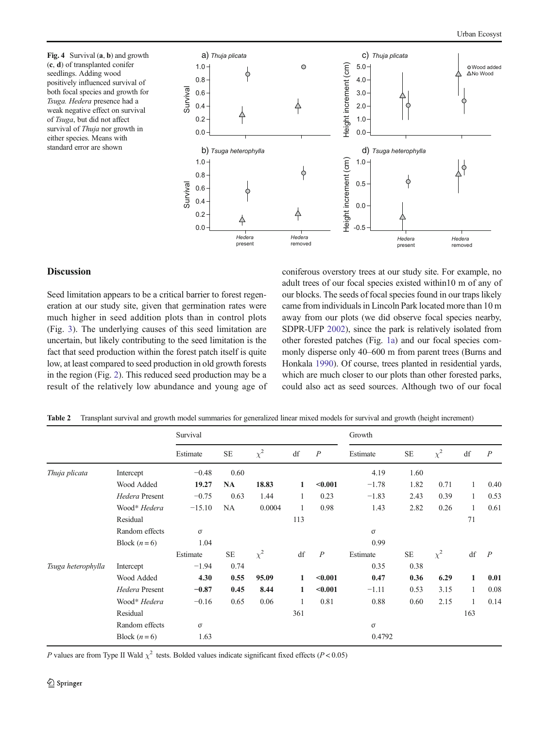<span id="page-7-0"></span>Fig. 4 Survival (a, b) and growth (c, d) of transplanted conifer seedlings. Adding wood positively influenced survival of both focal species and growth for Tsuga. Hedera presence had a weak negative effect on survival of Tsuga, but did not affect survival of Thuja nor growth in either species. Means with standard error are shown



## **Discussion**

Seed limitation appears to be a critical barrier to forest regeneration at our study site, given that germination rates were much higher in seed addition plots than in control plots (Fig. [3\)](#page-5-0). The underlying causes of this seed limitation are uncertain, but likely contributing to the seed limitation is the fact that seed production within the forest patch itself is quite low, at least compared to seed production in old growth forests in the region (Fig. [2\)](#page-4-0). This reduced seed production may be a result of the relatively low abundance and young age of coniferous overstory trees at our study site. For example, no adult trees of our focal species existed within10 m of any of our blocks. The seeds of focal species found in our traps likely came from individuals in Lincoln Park located more than 10 m away from our plots (we did observe focal species nearby, SDPR-UFP [2002\)](#page-9-0), since the park is relatively isolated from other forested patches (Fig. [1a](#page-2-0)) and our focal species commonly disperse only 40–600 m from parent trees (Burns and Honkala [1990\)](#page-9-0). Of course, trees planted in residential yards, which are much closer to our plots than other forested parks, could also act as seed sources. Although two of our focal

|  |  |  |  | Table 2 Transplant survival and growth model summaries for generalized linear mixed models for survival and growth (height increment) |
|--|--|--|--|---------------------------------------------------------------------------------------------------------------------------------------|
|--|--|--|--|---------------------------------------------------------------------------------------------------------------------------------------|

|                    |                | Survival |           |          |     |                  | Growth   |           |          |              |                  |  |
|--------------------|----------------|----------|-----------|----------|-----|------------------|----------|-----------|----------|--------------|------------------|--|
|                    |                | Estimate | <b>SE</b> | $\chi^2$ | df  | $\boldsymbol{P}$ | Estimate | <b>SE</b> | $\chi^2$ | df           | $\boldsymbol{P}$ |  |
| Thuja plicata      | Intercept      | $-0.48$  | 0.60      |          |     |                  | 4.19     | 1.60      |          |              |                  |  |
|                    | Wood Added     | 19.27    | <b>NA</b> | 18.83    | 1   | $0.001$          | $-1.78$  | 1.82      | 0.71     | 1            | 0.40             |  |
|                    | Hedera Present | $-0.75$  | 0.63      | 1.44     | 1   | 0.23             | $-1.83$  | 2.43      | 0.39     | $\mathbf{1}$ | 0.53             |  |
|                    | Wood* Hedera   | $-15.10$ | NA        | 0.0004   |     | 0.98             | 1.43     | 2.82      | 0.26     | 1            | 0.61             |  |
|                    | Residual       |          |           |          | 113 |                  |          |           |          | 71           |                  |  |
|                    | Random effects | $\sigma$ |           |          |     |                  | $\sigma$ |           |          |              |                  |  |
|                    | Block $(n=6)$  | 1.04     |           |          |     |                  | 0.99     |           |          |              |                  |  |
|                    |                | Estimate | <b>SE</b> | $\chi^2$ | df  | $\overline{P}$   | Estimate | <b>SE</b> | $\chi^2$ | df           | $\boldsymbol{P}$ |  |
| Tsuga heterophylla | Intercept      | $-1.94$  | 0.74      |          |     |                  | 0.35     | 0.38      |          |              |                  |  |
|                    | Wood Added     | 4.30     | 0.55      | 95.09    | 1   | $0.001$          | 0.47     | 0.36      | 6.29     | $\mathbf{1}$ | 0.01             |  |
|                    | Hedera Present | $-0.87$  | 0.45      | 8.44     | 1   | $0.001$          | $-1.11$  | 0.53      | 3.15     | $\mathbf{1}$ | 0.08             |  |
|                    | Wood* Hedera   | $-0.16$  | 0.65      | 0.06     |     | 0.81             | 0.88     | 0.60      | 2.15     | $\mathbf{1}$ | 0.14             |  |
|                    | Residual       |          |           |          | 361 |                  |          |           |          | 163          |                  |  |
|                    | Random effects | $\sigma$ |           |          |     |                  | $\sigma$ |           |          |              |                  |  |
|                    | Block $(n=6)$  | 1.63     |           |          |     |                  | 0.4792   |           |          |              |                  |  |

P values are from Type II Wald  $\chi^2$  tests. Bolded values indicate significant fixed effects (P < 0.05)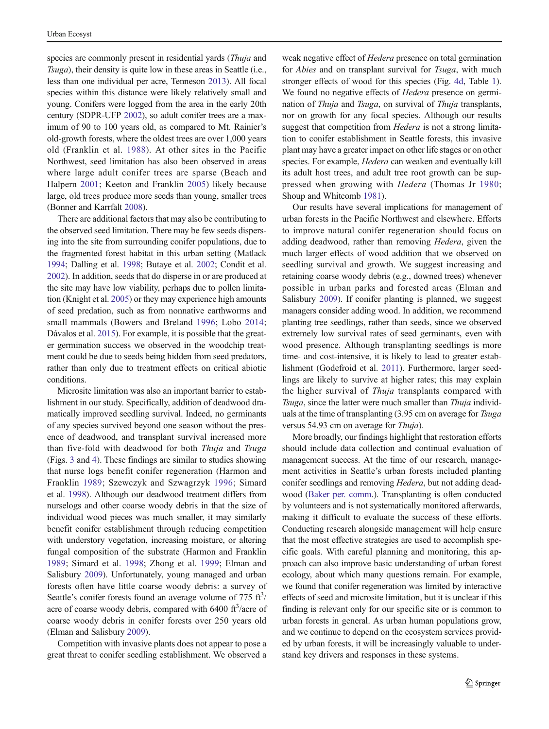species are commonly present in residential vards (*Thuja* and Tsuga), their density is quite low in these areas in Seattle (i.e., less than one individual per acre, Tenneson [2013\)](#page-10-0). All focal species within this distance were likely relatively small and young. Conifers were logged from the area in the early 20th century (SDPR-UFP [2002](#page-9-0)), so adult conifer trees are a maximum of 90 to 100 years old, as compared to Mt. Rainier's old-growth forests, where the oldest trees are over 1,000 years old (Franklin et al. [1988](#page-9-0)). At other sites in the Pacific Northwest, seed limitation has also been observed in areas where large adult conifer trees are sparse (Beach and Halpern [2001](#page-9-0); Keeton and Franklin [2005\)](#page-9-0) likely because large, old trees produce more seeds than young, smaller trees (Bonner and Karrfalt [2008\)](#page-9-0).

There are additional factors that may also be contributing to the observed seed limitation. There may be few seeds dispersing into the site from surrounding conifer populations, due to the fragmented forest habitat in this urban setting (Matlack [1994;](#page-9-0) Dalling et al. [1998](#page-9-0); Butaye et al. [2002;](#page-9-0) Condit et al. [2002\)](#page-9-0). In addition, seeds that do disperse in or are produced at the site may have low viability, perhaps due to pollen limitation (Knight et al. [2005](#page-9-0)) or they may experience high amounts of seed predation, such as from nonnative earthworms and small mammals (Bowers and Breland [1996;](#page-9-0) Lobo [2014](#page-9-0); Dávalos et al. [2015](#page-9-0)). For example, it is possible that the greater germination success we observed in the woodchip treatment could be due to seeds being hidden from seed predators, rather than only due to treatment effects on critical abiotic conditions.

Microsite limitation was also an important barrier to establishment in our study. Specifically, addition of deadwood dramatically improved seedling survival. Indeed, no germinants of any species survived beyond one season without the presence of deadwood, and transplant survival increased more than five-fold with deadwood for both Thuja and Tsuga (Figs. [3](#page-5-0) and [4\)](#page-7-0). These findings are similar to studies showing that nurse logs benefit conifer regeneration (Harmon and Franklin [1989;](#page-9-0) Szewczyk and Szwagrzyk [1996;](#page-10-0) Simard et al. [1998\)](#page-9-0). Although our deadwood treatment differs from nurselogs and other coarse woody debris in that the size of individual wood pieces was much smaller, it may similarly benefit conifer establishment through reducing competition with understory vegetation, increasing moisture, or altering fungal composition of the substrate (Harmon and Franklin [1989](#page-9-0); Simard et al. [1998;](#page-9-0) Zhong et al. [1999;](#page-10-0) Elman and Salisbury [2009](#page-9-0)). Unfortunately, young managed and urban forests often have little coarse woody debris: a survey of Seattle's conifer forests found an average volume of 775  $\text{ft}^3$ / acre of coarse woody debris, compared with  $6400 \text{ ft}^3/\text{acre}$  of coarse woody debris in conifer forests over 250 years old (Elman and Salisbury [2009\)](#page-9-0).

Competition with invasive plants does not appear to pose a great threat to conifer seedling establishment. We observed a

weak negative effect of Hedera presence on total germination for Abies and on transplant survival for Tsuga, with much stronger effects of wood for this species (Fig. [4d,](#page-7-0) Table [1\)](#page-6-0). We found no negative effects of *Hedera* presence on germination of Thuja and Tsuga, on survival of Thuja transplants, nor on growth for any focal species. Although our results suggest that competition from Hedera is not a strong limitation to conifer establishment in Seattle forests, this invasive plant may have a greater impact on other life stages or on other species. For example, Hedera can weaken and eventually kill its adult host trees, and adult tree root growth can be suppressed when growing with Hedera (Thomas Jr [1980;](#page-10-0) Shoup and Whitcomb [1981\)](#page-9-0).

Our results have several implications for management of urban forests in the Pacific Northwest and elsewhere. Efforts to improve natural conifer regeneration should focus on adding deadwood, rather than removing Hedera, given the much larger effects of wood addition that we observed on seedling survival and growth. We suggest increasing and retaining coarse woody debris (e.g., downed trees) whenever possible in urban parks and forested areas (Elman and Salisbury [2009](#page-9-0)). If conifer planting is planned, we suggest managers consider adding wood. In addition, we recommend planting tree seedlings, rather than seeds, since we observed extremely low survival rates of seed germinants, even with wood presence. Although transplanting seedlings is more time- and cost-intensive, it is likely to lead to greater establishment (Godefroid et al. [2011\)](#page-9-0). Furthermore, larger seedlings are likely to survive at higher rates; this may explain the higher survival of Thuja transplants compared with Tsuga, since the latter were much smaller than Thuja individuals at the time of transplanting (3.95 cm on average for Tsuga versus 54.93 cm on average for Thuja).

More broadly, our findings highlight that restoration efforts should include data collection and continual evaluation of management success. At the time of our research, management activities in Seattle's urban forests included planting conifer seedlings and removing Hedera, but not adding deadwood [\(Baker per. comm](#page-9-0).). Transplanting is often conducted by volunteers and is not systematically monitored afterwards, making it difficult to evaluate the success of these efforts. Conducting research alongside management will help ensure that the most effective strategies are used to accomplish specific goals. With careful planning and monitoring, this approach can also improve basic understanding of urban forest ecology, about which many questions remain. For example, we found that conifer regeneration was limited by interactive effects of seed and microsite limitation, but it is unclear if this finding is relevant only for our specific site or is common to urban forests in general. As urban human populations grow, and we continue to depend on the ecosystem services provided by urban forests, it will be increasingly valuable to understand key drivers and responses in these systems.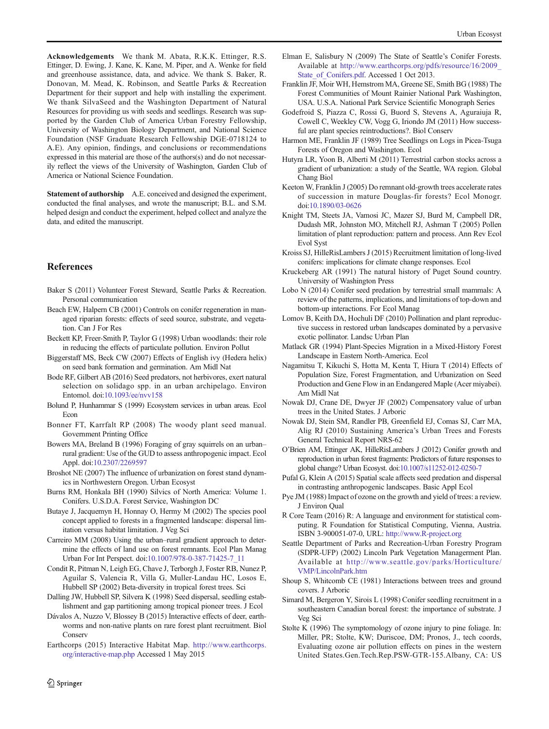<span id="page-9-0"></span>Acknowledgements We thank M. Abata, R.K.K. Ettinger, R.S. Ettinger, D. Ewing, J. Kane, K. Kane, M. Piper, and A. Wenke for field and greenhouse assistance, data, and advice. We thank S. Baker, R. Donovan, M. Mead, K. Robinson, and Seattle Parks & Recreation Department for their support and help with installing the experiment. We thank SilvaSeed and the Washington Department of Natural Resources for providing us with seeds and seedlings. Research was supported by the Garden Club of America Urban Forestry Fellowship, University of Washington Biology Department, and National Science Foundation (NSF Graduate Research Fellowship DGE-0718124 to A.E). Any opinion, findings, and conclusions or recommendations expressed in this material are those of the authors(s) and do not necessarily reflect the views of the University of Washington, Garden Club of America or National Science Foundation.

Statement of authorship A.E. conceived and designed the experiment, conducted the final analyses, and wrote the manuscript; B.L. and S.M. helped design and conduct the experiment, helped collect and analyze the data, and edited the manuscript.

## References

- Baker S (2011) Volunteer Forest Steward, Seattle Parks & Recreation. Personal communication
- Beach EW, Halpern CB (2001) Controls on conifer regeneration in managed riparian forests: effects of seed source, substrate, and vegetation. Can J For Res
- Beckett KP, Freer-Smith P, Taylor G (1998) Urban woodlands: their role in reducing the effects of particulate pollution. Environ Pollut
- Biggerstaff MS, Beck CW (2007) Effects of English ivy (Hedera helix) on seed bank formation and germination. Am Midl Nat
- Bode RF, Gilbert AB (2016) Seed predators, not herbivores, exert natural selection on solidago spp. in an urban archipelago. Environ Entomol. doi[:10.1093/ee/nvv158](http://dx.doi.org/10.1093/ee/nvv158)
- Bolund P, Hunhammar S (1999) Ecosystem services in urban areas. Ecol Econ
- Bonner FT, Karrfalt RP (2008) The woody plant seed manual. Government Printing Office
- Bowers MA, Breland B (1996) Foraging of gray squirrels on an urban– rural gradient: Use of the GUD to assess anthropogenic impact. Ecol Appl. doi[:10.2307/2269597](http://dx.doi.org/10.2307/2269597)
- Broshot NE (2007) The influence of urbanization on forest stand dynamics in Northwestern Oregon. Urban Ecosyst
- Burns RM, Honkala BH (1990) Silvics of North America: Volume 1. Conifers. U.S.D.A. Forest Service, Washington DC
- Butaye J, Jacquemyn H, Honnay O, Hermy M (2002) The species pool concept applied to forests in a fragmented landscape: dispersal limitation versus habitat limitation. J Veg Sci
- Carreiro MM (2008) Using the urban–rural gradient approach to determine the effects of land use on forest remnants. Ecol Plan Manag Urban For Int Perspect. doi[:10.1007/978-0-387-71425-7\\_11](http://dx.doi.org/10.1007/978-0-387-71425-7_11)
- Condit R, Pitman N, Leigh EG, Chave J, Terborgh J, Foster RB, Nunez P, Aguilar S, Valencia R, Villa G, Muller-Landau HC, Losos E, Hubbell SP (2002) Beta-diversity in tropical forest trees. Sci
- Dalling JW, Hubbell SP, Silvera K (1998) Seed dispersal, seedling establishment and gap partitioning among tropical pioneer trees. J Ecol
- Dávalos A, Nuzzo V, Blossey B (2015) Interactive effects of deer, earthworms and non-native plants on rare forest plant recruitment. Biol **Conserv**
- Earthcorps (2015) Interactive Habitat Map. [http://www.earthcorps.](http://www.earthcorps.org/interactive-map.php) [org/interactive-map.php](http://www.earthcorps.org/interactive-map.php) Accessed 1 May 2015
- Elman E, Salisbury N (2009) The State of Seattle's Conifer Forests. Available at [http://www.earthcorps.org/pdfs/resource/16/2009\\_](http://www.earthcorps.org/pdfs/resource/16/2009_State_of_Conifers.pdf) State of Conifers.pdf. Accessed 1 Oct 2013.
- Franklin JF, Moir WH, Hemstrom MA, Greene SE, Smith BG (1988) The Forest Communities of Mount Rainier National Park Washington, USA. U.S.A. National Park Service Scientific Monograph Series
- Godefroid S, Piazza C, Rossi G, Buord S, Stevens A, Aguraiuja R, Cowell C, Weekley CW, Vogg G, Iriondo JM (2011) How successful are plant species reintroductions?. Biol Conserv
- Harmon ME, Franklin JF (1989) Tree Seedlings on Logs in Picea-Tsuga Forests of Oregon and Washington. Ecol
- Hutyra LR, Yoon B, Alberti M (2011) Terrestrial carbon stocks across a gradient of urbanization: a study of the Seattle, WA region. Global Chang Biol
- Keeton W, Franklin J (2005) Do remnant old-growth trees accelerate rates of succession in mature Douglas-fir forests? Ecol Monogr. doi:[10.1890/03-0626](http://dx.doi.org/10.1890/03-0626)
- Knight TM, Steets JA, Vamosi JC, Mazer SJ, Burd M, Campbell DR, Dudash MR, Johnston MO, Mitchell RJ, Ashman T (2005) Pollen limitation of plant reproduction: pattern and process. Ann Rev Ecol Evol Syst
- Kroiss SJ, HilleRisLambers J (2015) Recruitment limitation of long-lived conifers: implications for climate change responses. Ecol
- Kruckeberg AR (1991) The natural history of Puget Sound country. University of Washington Press
- Lobo N (2014) Conifer seed predation by terrestrial small mammals: A review of the patterns, implications, and limitations of top-down and bottom-up interactions. For Ecol Manag
- Lomov B, Keith DA, Hochuli DF (2010) Pollination and plant reproductive success in restored urban landscapes dominated by a pervasive exotic pollinator. Landsc Urban Plan
- Matlack GR (1994) Plant-Species Migration in a Mixed-History Forest Landscape in Eastern North-America. Ecol
- Nagamitsu T, Kikuchi S, Hotta M, Kenta T, Hiura T (2014) Effects of Population Size, Forest Fragmentation, and Urbanization on Seed Production and Gene Flow in an Endangered Maple (Acer miyabei). Am Midl Nat
- Nowak DJ, Crane DE, Dwyer JF (2002) Compensatory value of urban trees in the United States. J Arboric
- Nowak DJ, Stein SM, Randler PB, Greenfield EJ, Comas SJ, Carr MA, Alig RJ (2010) Sustaining America's Urban Trees and Forests General Technical Report NRS-62
- O'Brien AM, Ettinger AK, HilleRisLambers J (2012) Conifer growth and reproduction in urban forest fragments: Predictors of future responses to global change? Urban Ecosyst. doi[:10.1007/s11252-012-0250-7](http://dx.doi.org/10.1007/s11252-012-0250-7)
- Pufal G, Klein A (2015) Spatial scale affects seed predation and dispersal in contrasting anthropogenic landscapes. Basic Appl Ecol
- Pye JM (1988) Impact of ozone on the growth and yield of trees: a review. J Environ Qual
- R Core Team (2016) R: A language and environment for statistical computing. R Foundation for Statistical Computing, Vienna, Austria. ISBN 3-900051-07-0, URL: <http://www.R-project.org>
- Seattle Department of Parks and Recreation-Urban Forestry Program (SDPR-UFP) (2002) Lincoln Park Vegetation Managerment Plan. Available at [http://www.seattle.gov/parks/Horticulture/](http://www.seattle.gov/parks/Horticulture/VMP/LincolnPark.htm) [VMP/LincolnPark.htm](http://www.seattle.gov/parks/Horticulture/VMP/LincolnPark.htm)
- Shoup S, Whitcomb CE (1981) Interactions between trees and ground covers. J Arboric
- Simard M, Bergeron Y, Sirois L (1998) Conifer seedling recruitment in a southeastern Canadian boreal forest: the importance of substrate. J Veg Sci
- Stolte K (1996) The symptomology of ozone injury to pine foliage. In: Miller, PR; Stolte, KW; Duriscoe, DM; Pronos, J., tech coords, Evaluating ozone air pollution effects on pines in the western United States.Gen.Tech.Rep.PSW-GTR-155.Albany, CA: US